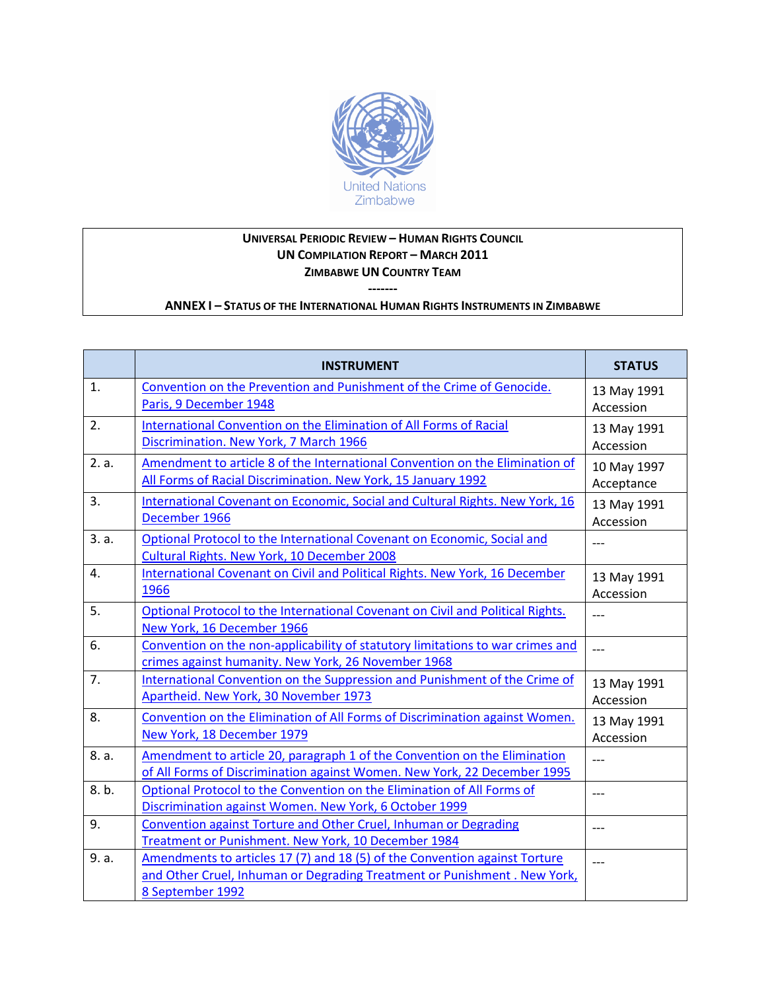

## **UNIVERSAL PERIODIC REVIEW – HUMAN RIGHTS COUNCIL UN COMPILATION REPORT – MARCH 2011 ZIMBABWE UN COUNTRY TEAM**

**------- ANNEX I – STATUS OF THE INTERNATIONAL HUMAN RIGHTS INSTRUMENTS IN ZIMBABWE**

|       | <b>INSTRUMENT</b>                                                                                                                                                          | <b>STATUS</b>             |
|-------|----------------------------------------------------------------------------------------------------------------------------------------------------------------------------|---------------------------|
| 1.    | Convention on the Prevention and Punishment of the Crime of Genocide.<br>Paris, 9 December 1948                                                                            | 13 May 1991<br>Accession  |
| 2.    | International Convention on the Elimination of All Forms of Racial<br>Discrimination. New York, 7 March 1966                                                               | 13 May 1991<br>Accession  |
| 2. a. | Amendment to article 8 of the International Convention on the Elimination of<br>All Forms of Racial Discrimination. New York, 15 January 1992                              | 10 May 1997<br>Acceptance |
| 3.    | International Covenant on Economic, Social and Cultural Rights. New York, 16<br>December 1966                                                                              | 13 May 1991<br>Accession  |
| 3. a. | Optional Protocol to the International Covenant on Economic, Social and<br>Cultural Rights. New York, 10 December 2008                                                     | $---$                     |
| 4.    | International Covenant on Civil and Political Rights. New York, 16 December<br>1966                                                                                        | 13 May 1991<br>Accession  |
| 5.    | Optional Protocol to the International Covenant on Civil and Political Rights.<br>New York, 16 December 1966                                                               | $---$                     |
| 6.    | Convention on the non-applicability of statutory limitations to war crimes and<br>crimes against humanity. New York, 26 November 1968                                      | $---$                     |
| 7.    | International Convention on the Suppression and Punishment of the Crime of<br>Apartheid. New York, 30 November 1973                                                        | 13 May 1991<br>Accession  |
| 8.    | Convention on the Elimination of All Forms of Discrimination against Women.<br>New York, 18 December 1979                                                                  | 13 May 1991<br>Accession  |
| 8. a. | Amendment to article 20, paragraph 1 of the Convention on the Elimination<br>of All Forms of Discrimination against Women. New York, 22 December 1995                      | $---$                     |
| 8.b.  | Optional Protocol to the Convention on the Elimination of All Forms of<br>Discrimination against Women. New York, 6 October 1999                                           | $---$                     |
| 9.    | Convention against Torture and Other Cruel, Inhuman or Degrading<br>Treatment or Punishment. New York, 10 December 1984                                                    | $---$                     |
| 9. a. | Amendments to articles 17 (7) and 18 (5) of the Convention against Torture<br>and Other Cruel, Inhuman or Degrading Treatment or Punishment. New York,<br>8 September 1992 | ---                       |